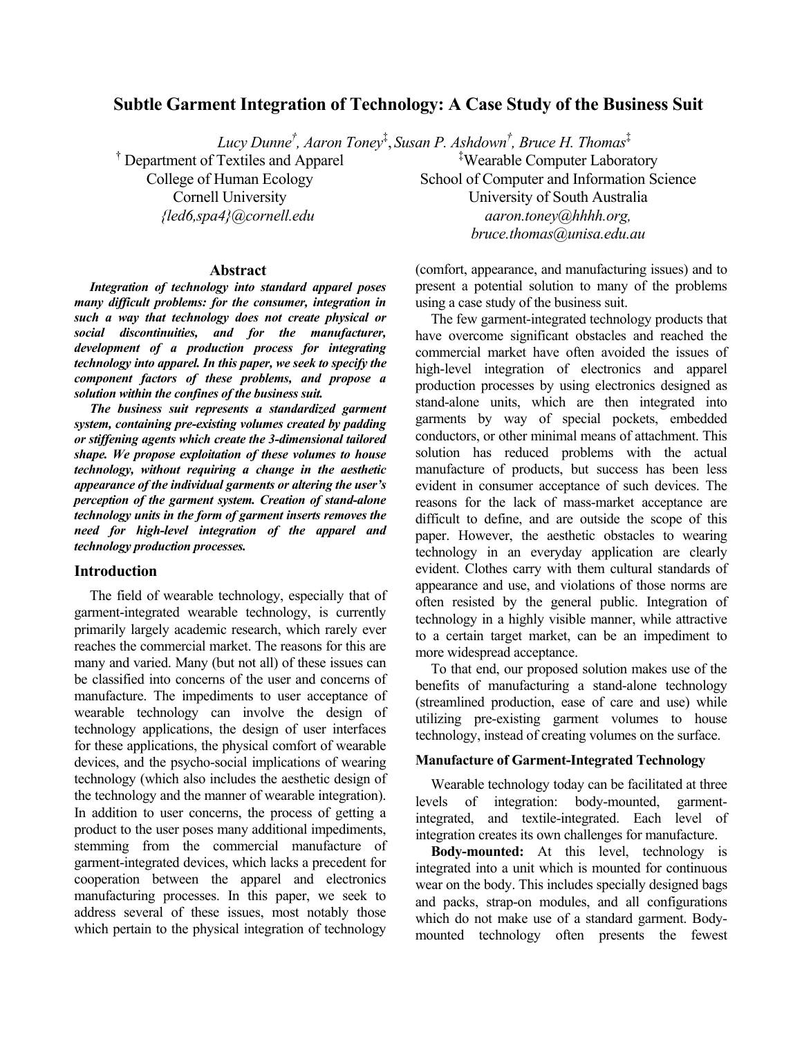# **Subtle Garment Integration of Technology: A Case Study of the Business Suit**

*Lucy Dunne† , Aaron Toney*‡ , *Susan P. Ashdown† , Bruce H. Thomas*‡

† Department of Textiles and Apparel College of Human Ecology Cornell University *{led6,spa4}@cornell.edu*

#### **Abstract**

*Integration of technology into standard apparel poses many difficult problems: for the consumer, integration in such a way that technology does not create physical or social discontinuities, and for the manufacturer, development of a production process for integrating technology into apparel. In this paper, we seek to specify the component factors of these problems, and propose a solution within the confines of the business suit.* 

*The business suit represents a standardized garment system, containing pre-existing volumes created by padding or stiffening agents which create the 3-dimensional tailored shape. We propose exploitation of these volumes to house technology, without requiring a change in the aesthetic appearance of the individual garments or altering the user's perception of the garment system. Creation of stand-alone technology units in the form of garment inserts removes the need for high-level integration of the apparel and technology production processes.* 

### **Introduction**

The field of wearable technology, especially that of garment-integrated wearable technology, is currently primarily largely academic research, which rarely ever reaches the commercial market. The reasons for this are many and varied. Many (but not all) of these issues can be classified into concerns of the user and concerns of manufacture. The impediments to user acceptance of wearable technology can involve the design of technology applications, the design of user interfaces for these applications, the physical comfort of wearable devices, and the psycho-social implications of wearing technology (which also includes the aesthetic design of the technology and the manner of wearable integration). In addition to user concerns, the process of getting a product to the user poses many additional impediments, stemming from the commercial manufacture of garment-integrated devices, which lacks a precedent for cooperation between the apparel and electronics manufacturing processes. In this paper, we seek to address several of these issues, most notably those which pertain to the physical integration of technology

‡ Wearable Computer Laboratory School of Computer and Information Science University of South Australia *aaron.toney@hhhh.org, bruce.thomas@unisa.edu.au*

(comfort, appearance, and manufacturing issues) and to present a potential solution to many of the problems using a case study of the business suit.

The few garment-integrated technology products that have overcome significant obstacles and reached the commercial market have often avoided the issues of high-level integration of electronics and apparel production processes by using electronics designed as stand-alone units, which are then integrated into garments by way of special pockets, embedded conductors, or other minimal means of attachment. This solution has reduced problems with the actual manufacture of products, but success has been less evident in consumer acceptance of such devices. The reasons for the lack of mass-market acceptance are difficult to define, and are outside the scope of this paper. However, the aesthetic obstacles to wearing technology in an everyday application are clearly evident. Clothes carry with them cultural standards of appearance and use, and violations of those norms are often resisted by the general public. Integration of technology in a highly visible manner, while attractive to a certain target market, can be an impediment to more widespread acceptance.

To that end, our proposed solution makes use of the benefits of manufacturing a stand-alone technology (streamlined production, ease of care and use) while utilizing pre-existing garment volumes to house technology, instead of creating volumes on the surface.

#### **Manufacture of Garment-Integrated Technology**

Wearable technology today can be facilitated at three levels of integration: body-mounted, garmentintegrated, and textile-integrated. Each level of integration creates its own challenges for manufacture.

**Body-mounted:** At this level, technology is integrated into a unit which is mounted for continuous wear on the body. This includes specially designed bags and packs, strap-on modules, and all configurations which do not make use of a standard garment. Bodymounted technology often presents the fewest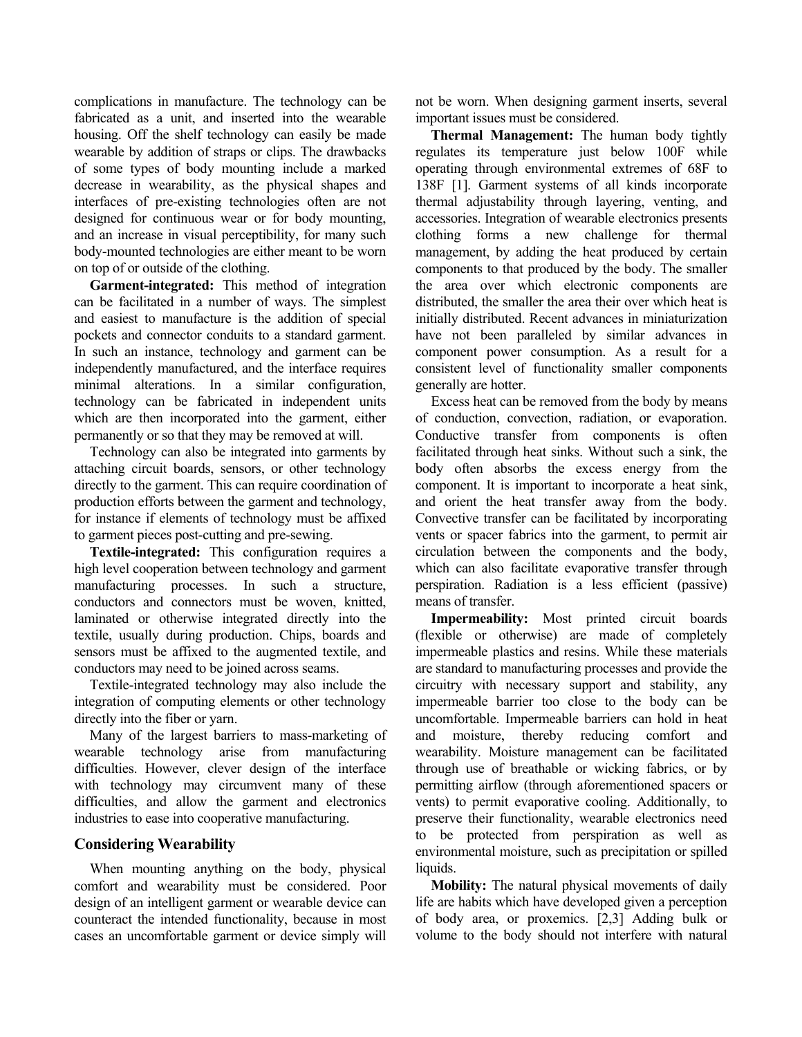complications in manufacture. The technology can be fabricated as a unit, and inserted into the wearable housing. Off the shelf technology can easily be made wearable by addition of straps or clips. The drawbacks of some types of body mounting include a marked decrease in wearability, as the physical shapes and interfaces of pre-existing technologies often are not designed for continuous wear or for body mounting, and an increase in visual perceptibility, for many such body-mounted technologies are either meant to be worn on top of or outside of the clothing.

**Garment-integrated:** This method of integration can be facilitated in a number of ways. The simplest and easiest to manufacture is the addition of special pockets and connector conduits to a standard garment. In such an instance, technology and garment can be independently manufactured, and the interface requires minimal alterations. In a similar configuration, technology can be fabricated in independent units which are then incorporated into the garment, either permanently or so that they may be removed at will.

Technology can also be integrated into garments by attaching circuit boards, sensors, or other technology directly to the garment. This can require coordination of production efforts between the garment and technology, for instance if elements of technology must be affixed to garment pieces post-cutting and pre-sewing.

**Textile-integrated:** This configuration requires a high level cooperation between technology and garment manufacturing processes. In such a structure, conductors and connectors must be woven, knitted, laminated or otherwise integrated directly into the textile, usually during production. Chips, boards and sensors must be affixed to the augmented textile, and conductors may need to be joined across seams.

Textile-integrated technology may also include the integration of computing elements or other technology directly into the fiber or yarn.

Many of the largest barriers to mass-marketing of wearable technology arise from manufacturing difficulties. However, clever design of the interface with technology may circumvent many of these difficulties, and allow the garment and electronics industries to ease into cooperative manufacturing.

# **Considering Wearability**

When mounting anything on the body, physical comfort and wearability must be considered. Poor design of an intelligent garment or wearable device can counteract the intended functionality, because in most cases an uncomfortable garment or device simply will not be worn. When designing garment inserts, several important issues must be considered.

**Thermal Management:** The human body tightly regulates its temperature just below 100F while operating through environmental extremes of 68F to 138F [1]. Garment systems of all kinds incorporate thermal adjustability through layering, venting, and accessories. Integration of wearable electronics presents clothing forms a new challenge for thermal management, by adding the heat produced by certain components to that produced by the body. The smaller the area over which electronic components are distributed, the smaller the area their over which heat is initially distributed. Recent advances in miniaturization have not been paralleled by similar advances in component power consumption. As a result for a consistent level of functionality smaller components generally are hotter.

Excess heat can be removed from the body by means of conduction, convection, radiation, or evaporation. Conductive transfer from components is often facilitated through heat sinks. Without such a sink, the body often absorbs the excess energy from the component. It is important to incorporate a heat sink, and orient the heat transfer away from the body. Convective transfer can be facilitated by incorporating vents or spacer fabrics into the garment, to permit air circulation between the components and the body, which can also facilitate evaporative transfer through perspiration. Radiation is a less efficient (passive) means of transfer.

**Impermeability:** Most printed circuit boards (flexible or otherwise) are made of completely impermeable plastics and resins. While these materials are standard to manufacturing processes and provide the circuitry with necessary support and stability, any impermeable barrier too close to the body can be uncomfortable. Impermeable barriers can hold in heat and moisture, thereby reducing comfort and wearability. Moisture management can be facilitated through use of breathable or wicking fabrics, or by permitting airflow (through aforementioned spacers or vents) to permit evaporative cooling. Additionally, to preserve their functionality, wearable electronics need to be protected from perspiration as well as environmental moisture, such as precipitation or spilled liquids.

**Mobility:** The natural physical movements of daily life are habits which have developed given a perception of body area, or proxemics. [2,3] Adding bulk or volume to the body should not interfere with natural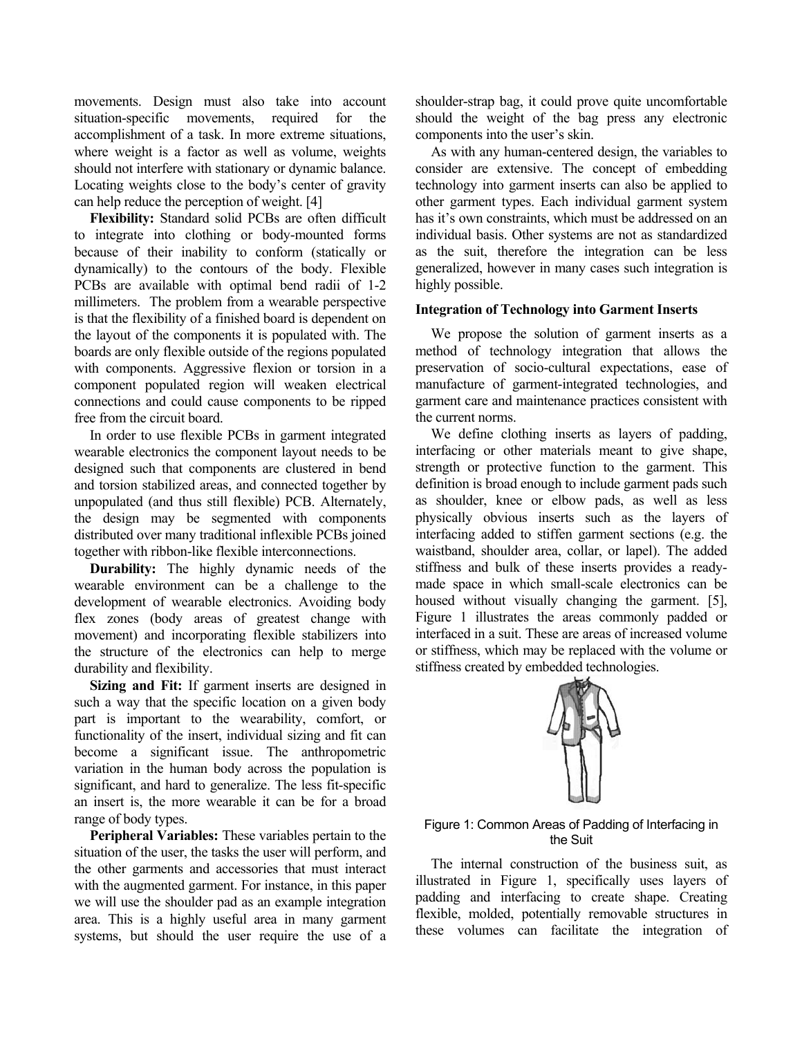movements. Design must also take into account situation-specific movements, required for the accomplishment of a task. In more extreme situations, where weight is a factor as well as volume, weights should not interfere with stationary or dynamic balance. Locating weights close to the body's center of gravity can help reduce the perception of weight. [4]

**Flexibility:** Standard solid PCBs are often difficult to integrate into clothing or body-mounted forms because of their inability to conform (statically or dynamically) to the contours of the body. Flexible PCBs are available with optimal bend radii of 1-2 millimeters. The problem from a wearable perspective is that the flexibility of a finished board is dependent on the layout of the components it is populated with. The boards are only flexible outside of the regions populated with components. Aggressive flexion or torsion in a component populated region will weaken electrical connections and could cause components to be ripped free from the circuit board.

In order to use flexible PCBs in garment integrated wearable electronics the component layout needs to be designed such that components are clustered in bend and torsion stabilized areas, and connected together by unpopulated (and thus still flexible) PCB. Alternately, the design may be segmented with components distributed over many traditional inflexible PCBs joined together with ribbon-like flexible interconnections.

**Durability:** The highly dynamic needs of the wearable environment can be a challenge to the development of wearable electronics. Avoiding body flex zones (body areas of greatest change with movement) and incorporating flexible stabilizers into the structure of the electronics can help to merge durability and flexibility.

**Sizing and Fit:** If garment inserts are designed in such a way that the specific location on a given body part is important to the wearability, comfort, or functionality of the insert, individual sizing and fit can become a significant issue. The anthropometric variation in the human body across the population is significant, and hard to generalize. The less fit-specific an insert is, the more wearable it can be for a broad range of body types.

**Peripheral Variables:** These variables pertain to the situation of the user, the tasks the user will perform, and the other garments and accessories that must interact with the augmented garment. For instance, in this paper we will use the shoulder pad as an example integration area. This is a highly useful area in many garment systems, but should the user require the use of a shoulder-strap bag, it could prove quite uncomfortable should the weight of the bag press any electronic components into the user's skin.

As with any human-centered design, the variables to consider are extensive. The concept of embedding technology into garment inserts can also be applied to other garment types. Each individual garment system has it's own constraints, which must be addressed on an individual basis. Other systems are not as standardized as the suit, therefore the integration can be less generalized, however in many cases such integration is highly possible.

## **Integration of Technology into Garment Inserts**

We propose the solution of garment inserts as a method of technology integration that allows the preservation of socio-cultural expectations, ease of manufacture of garment-integrated technologies, and garment care and maintenance practices consistent with the current norms.

We define clothing inserts as layers of padding, interfacing or other materials meant to give shape, strength or protective function to the garment. This definition is broad enough to include garment pads such as shoulder, knee or elbow pads, as well as less physically obvious inserts such as the layers of interfacing added to stiffen garment sections (e.g. the waistband, shoulder area, collar, or lapel). The added stiffness and bulk of these inserts provides a readymade space in which small-scale electronics can be housed without visually changing the garment. [5], Figure 1 illustrates the areas commonly padded or interfaced in a suit. These are areas of increased volume or stiffness, which may be replaced with the volume or stiffness created by embedded technologies.



### Figure 1: Common Areas of Padding of Interfacing in the Suit

The internal construction of the business suit, as illustrated in Figure 1, specifically uses layers of padding and interfacing to create shape. Creating flexible, molded, potentially removable structures in these volumes can facilitate the integration of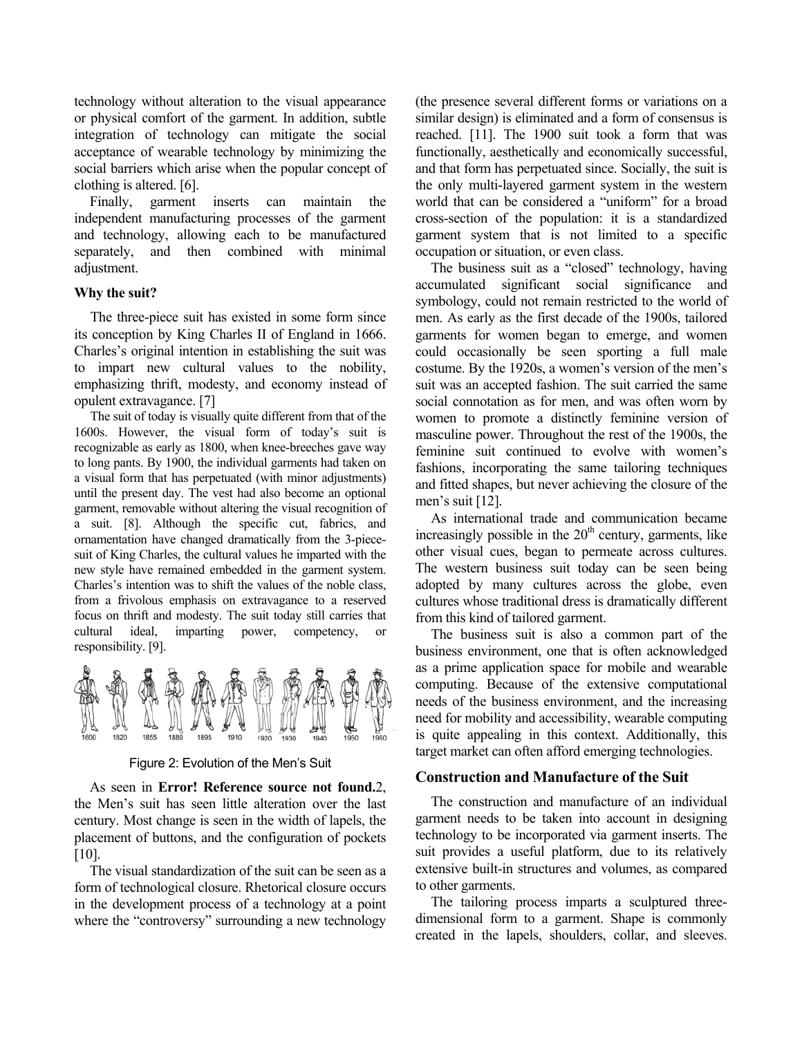technology without alteration to the visual appearance or physical comfort of the garment. In addition, subtle integration of technology can mitigate the social acceptance of wearable technology by minimizing the social barriers which arise when the popular concept of clothing is altered. [6].

Finally, garment inserts can maintain the independent manufacturing processes of the garment and technology, allowing each to be manufactured separately, and then combined with minimal adjustment.

## **Why the suit?**

The three-piece suit has existed in some form since its conception by King Charles II of England in 1666. Charles's original intention in establishing the suit was to impart new cultural values to the nobility, emphasizing thrift, modesty, and economy instead of opulent extravagance. [7]

The suit of today is visually quite different from that of the 1600s. However, the visual form of today's suit is recognizable as early as 1800, when knee-breeches gave way to long pants. By 1900, the individual garments had taken on a visual form that has perpetuated (with minor adjustments) until the present day. The vest had also become an optional garment, removable without altering the visual recognition of a suit. [8]. Although the specific cut, fabrics, and ornamentation have changed dramatically from the 3-piecesuit of King Charles, the cultural values he imparted with the new style have remained embedded in the garment system. Charles's intention was to shift the values of the noble class, from a frivolous emphasis on extravagance to a reserved focus on thrift and modesty. The suit today still carries that cultural ideal, imparting power, competency, or responsibility. [9].



Figure 2: Evolution of the Men's Suit

As seen in **Error! Reference source not found.**2, the Men's suit has seen little alteration over the last century. Most change is seen in the width of lapels, the placement of buttons, and the configuration of pockets [10].

The visual standardization of the suit can be seen as a form of technological closure. Rhetorical closure occurs in the development process of a technology at a point where the "controversy" surrounding a new technology

(the presence several different forms or variations on a similar design) is eliminated and a form of consensus is reached. [11]. The 1900 suit took a form that was functionally, aesthetically and economically successful, and that form has perpetuated since. Socially, the suit is the only multi-layered garment system in the western world that can be considered a "uniform" for a broad cross-section of the population: it is a standardized garment system that is not limited to a specific occupation or situation, or even class.

The business suit as a "closed" technology, having accumulated significant social significance and symbology, could not remain restricted to the world of men. As early as the first decade of the 1900s, tailored garments for women began to emerge, and women could occasionally be seen sporting a full male costume. By the 1920s, a women's version of the men's suit was an accepted fashion. The suit carried the same social connotation as for men, and was often worn by women to promote a distinctly feminine version of masculine power. Throughout the rest of the 1900s, the feminine suit continued to evolve with women's fashions, incorporating the same tailoring techniques and fitted shapes, but never achieving the closure of the men's suit [12].

As international trade and communication became increasingly possible in the  $20<sup>th</sup>$  century, garments, like other visual cues, began to permeate across cultures. The western business suit today can be seen being adopted by many cultures across the globe, even cultures whose traditional dress is dramatically different from this kind of tailored garment.

The business suit is also a common part of the business environment, one that is often acknowledged as a prime application space for mobile and wearable computing. Because of the extensive computational needs of the business environment, and the increasing need for mobility and accessibility, wearable computing is quite appealing in this context. Additionally, this target market can often afford emerging technologies.

### **Construction and Manufacture of the Suit**

The construction and manufacture of an individual garment needs to be taken into account in designing technology to be incorporated via garment inserts. The suit provides a useful platform, due to its relatively extensive built-in structures and volumes, as compared to other garments.

The tailoring process imparts a sculptured threedimensional form to a garment. Shape is commonly created in the lapels, shoulders, collar, and sleeves.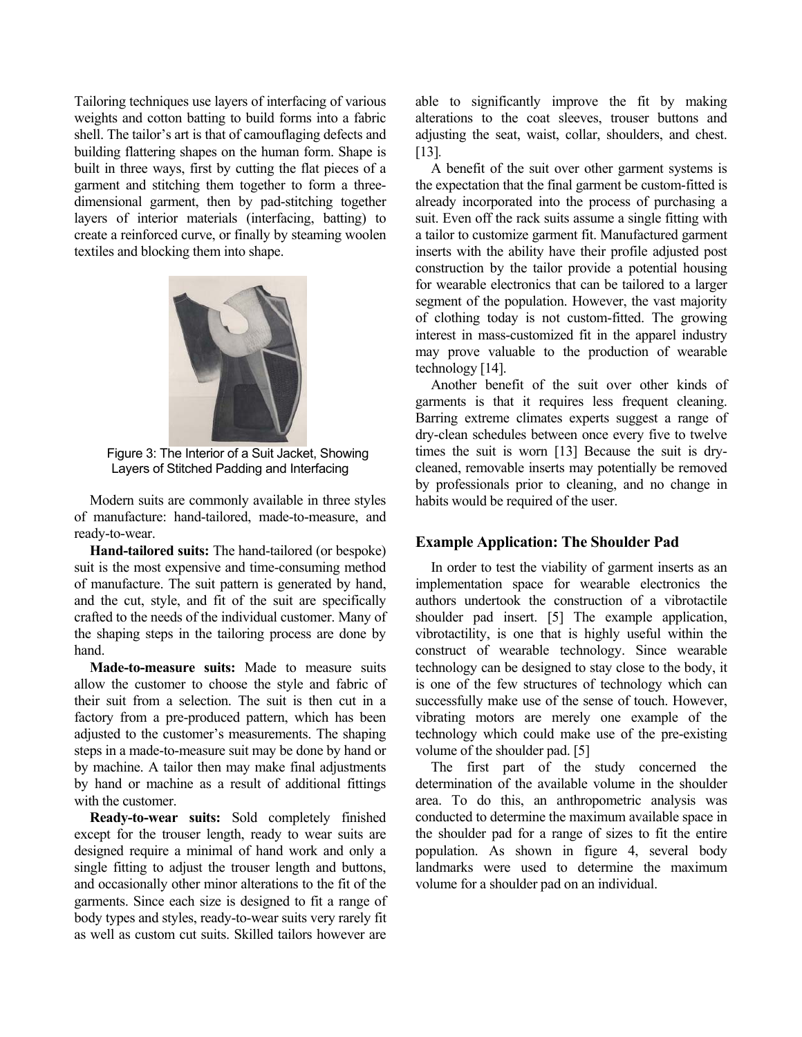Tailoring techniques use layers of interfacing of various weights and cotton batting to build forms into a fabric shell. The tailor's art is that of camouflaging defects and building flattering shapes on the human form. Shape is built in three ways, first by cutting the flat pieces of a garment and stitching them together to form a threedimensional garment, then by pad-stitching together layers of interior materials (interfacing, batting) to create a reinforced curve, or finally by steaming woolen textiles and blocking them into shape.



Figure 3: The Interior of a Suit Jacket, Showing Layers of Stitched Padding and Interfacing

Modern suits are commonly available in three styles of manufacture: hand-tailored, made-to-measure, and ready-to-wear.

**Hand-tailored suits:** The hand-tailored (or bespoke) suit is the most expensive and time-consuming method of manufacture. The suit pattern is generated by hand, and the cut, style, and fit of the suit are specifically crafted to the needs of the individual customer. Many of the shaping steps in the tailoring process are done by hand.

**Made-to-measure suits:** Made to measure suits allow the customer to choose the style and fabric of their suit from a selection. The suit is then cut in a factory from a pre-produced pattern, which has been adjusted to the customer's measurements. The shaping steps in a made-to-measure suit may be done by hand or by machine. A tailor then may make final adjustments by hand or machine as a result of additional fittings with the customer.

**Ready-to-wear suits:** Sold completely finished except for the trouser length, ready to wear suits are designed require a minimal of hand work and only a single fitting to adjust the trouser length and buttons, and occasionally other minor alterations to the fit of the garments. Since each size is designed to fit a range of body types and styles, ready-to-wear suits very rarely fit as well as custom cut suits. Skilled tailors however are

able to significantly improve the fit by making alterations to the coat sleeves, trouser buttons and adjusting the seat, waist, collar, shoulders, and chest. [13].

A benefit of the suit over other garment systems is the expectation that the final garment be custom-fitted is already incorporated into the process of purchasing a suit. Even off the rack suits assume a single fitting with a tailor to customize garment fit. Manufactured garment inserts with the ability have their profile adjusted post construction by the tailor provide a potential housing for wearable electronics that can be tailored to a larger segment of the population. However, the vast majority of clothing today is not custom-fitted. The growing interest in mass-customized fit in the apparel industry may prove valuable to the production of wearable technology [14].

Another benefit of the suit over other kinds of garments is that it requires less frequent cleaning. Barring extreme climates experts suggest a range of dry-clean schedules between once every five to twelve times the suit is worn [13] Because the suit is drycleaned, removable inserts may potentially be removed by professionals prior to cleaning, and no change in habits would be required of the user.

### **Example Application: The Shoulder Pad**

In order to test the viability of garment inserts as an implementation space for wearable electronics the authors undertook the construction of a vibrotactile shoulder pad insert. [5] The example application, vibrotactility, is one that is highly useful within the construct of wearable technology. Since wearable technology can be designed to stay close to the body, it is one of the few structures of technology which can successfully make use of the sense of touch. However, vibrating motors are merely one example of the technology which could make use of the pre-existing volume of the shoulder pad. [5]

The first part of the study concerned the determination of the available volume in the shoulder area. To do this, an anthropometric analysis was conducted to determine the maximum available space in the shoulder pad for a range of sizes to fit the entire population. As shown in figure 4, several body landmarks were used to determine the maximum volume for a shoulder pad on an individual.